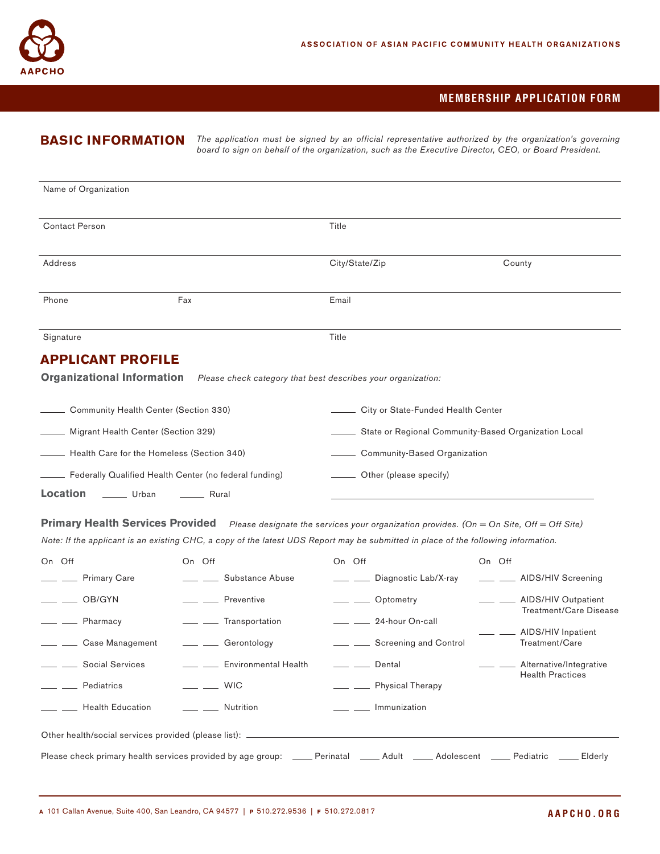

## **MEMBERSHIP APPLICATION FORM**

# **BASIC INFORMATION**

*The application must be signed by an official representative authorized by the organization's governing board to sign on behalf of the organization, such as the Executive Director, CEO, or Board President.*

| Name of Organization                                   |                                                                                                |                |                                                         |  |  |  |
|--------------------------------------------------------|------------------------------------------------------------------------------------------------|----------------|---------------------------------------------------------|--|--|--|
| Contact Person                                         |                                                                                                | Title          |                                                         |  |  |  |
| Address                                                |                                                                                                | City/State/Zip | County                                                  |  |  |  |
| Phone                                                  | Fax                                                                                            | Email          |                                                         |  |  |  |
| Signature                                              |                                                                                                | Title          |                                                         |  |  |  |
| <b>APPLICANT PROFILE</b>                               | <b>Organizational Information</b> Please check category that best describes your organization: |                |                                                         |  |  |  |
| Community Health Center (Section 330)                  |                                                                                                |                | City or State-Funded Health Center                      |  |  |  |
| Migrant Health Center (Section 329)                    |                                                                                                |                | __ State or Regional Community-Based Organization Local |  |  |  |
| Health Care for the Homeless (Section 340)             |                                                                                                |                | Community-Based Organization                            |  |  |  |
| Federally Qualified Health Center (no federal funding) |                                                                                                |                | Other (please specify)                                  |  |  |  |

Location \_\_\_\_\_\_ Urban \_\_\_\_\_\_ Rural

**Primary Health Services Provided** Please designate the services your organization provides. (On = On Site, Off = Off Site) *Note: If the applicant is an existing CHC, a copy of the latest UDS Report may be submitted in place of the following information.*

| On Off                                                                                                                             | On Off                        | On Off                                  | On Off                                                |  |  |  |  |  |
|------------------------------------------------------------------------------------------------------------------------------------|-------------------------------|-----------------------------------------|-------------------------------------------------------|--|--|--|--|--|
| ___ __ Primary Care                                                                                                                | <u>__</u> ___ Substance Abuse | ____ ____ Diagnostic Lab/X-ray          | ___ ___ AIDS/HIV Screening                            |  |  |  |  |  |
| $\frac{1}{\sqrt{1-\frac{1}{2}}}$ OB/GYN                                                                                            | <u>- Preventive</u>           | __ Optometry                            | ___ ___ AIDS/HIV Outpatient<br>Treatment/Care Disease |  |  |  |  |  |
| <u>- Pharmacy</u>                                                                                                                  | ___ __ Transportation         | __ __ 24-hour On-call                   |                                                       |  |  |  |  |  |
| __ ___ Case Management                                                                                                             | ___ __ Gerontology            | __ _ _ Screening and Control            | _ ___ AIDS/HIV Inpatient<br>Treatment/Care            |  |  |  |  |  |
| <u>Social</u> Services                                                                                                             | ___ __ Environmental Health   | $\frac{1}{\sqrt{1-\frac{1}{2}}}$ Dental | ____ ____ Alternative/Integrative                     |  |  |  |  |  |
| — — Pediatrics                                                                                                                     | $\equiv$ WIC                  | - Physical Therapy                      | <b>Health Practices</b>                               |  |  |  |  |  |
| $\equiv$ $\equiv$ Health Education                                                                                                 | <u>___</u> _____ Nutrition    | ___ __ Immunization                     |                                                       |  |  |  |  |  |
|                                                                                                                                    |                               |                                         |                                                       |  |  |  |  |  |
|                                                                                                                                    |                               |                                         |                                                       |  |  |  |  |  |
| Please check primary health services provided by age group: _____ Perinatal _____ Adult _____ Adolescent ____ Pediatric<br>Elderly |                               |                                         |                                                       |  |  |  |  |  |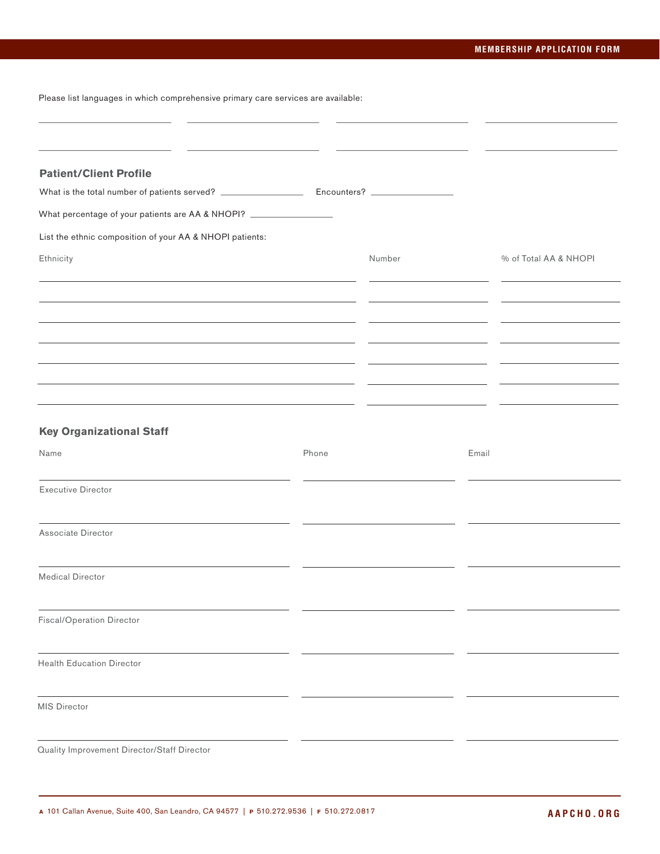## **MEMBERSHIP APPLICATION FORM**

Please list languages in which comprehensive primary care services are available:

| <b>Patient/Client Profile</b>                                       |       |        |       |                       |
|---------------------------------------------------------------------|-------|--------|-------|-----------------------|
|                                                                     |       |        |       |                       |
| What percentage of your patients are AA & NHOPI? __________________ |       |        |       |                       |
| List the ethnic composition of your AA & NHOPI patients:            |       |        |       |                       |
| Ethnicity                                                           |       | Number |       | % of Total AA & NHOPI |
|                                                                     |       |        |       |                       |
|                                                                     |       |        |       |                       |
|                                                                     |       |        |       |                       |
|                                                                     |       |        |       |                       |
|                                                                     |       |        |       |                       |
|                                                                     |       |        |       |                       |
|                                                                     |       |        |       |                       |
| <b>Key Organizational Staff</b>                                     |       |        |       |                       |
| Name                                                                | Phone |        | Email |                       |
| <b>Executive Director</b>                                           |       |        |       |                       |
| Associate Director                                                  |       |        |       |                       |
| <b>Medical Director</b>                                             |       |        |       |                       |
|                                                                     |       |        |       |                       |
| <b>Fiscal/Operation Director</b>                                    |       |        |       |                       |
| <b>Health Education Director</b>                                    |       |        |       |                       |
| <b>MIS Director</b>                                                 |       |        |       |                       |
| Quality Improvement Director/Staff Director                         |       |        |       |                       |